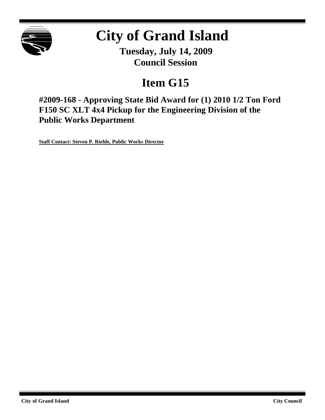

# **City of Grand Island**

**Tuesday, July 14, 2009 Council Session**

# **Item G15**

**#2009-168 - Approving State Bid Award for (1) 2010 1/2 Ton Ford F150 SC XLT 4x4 Pickup for the Engineering Division of the Public Works Department**

**Staff Contact: Steven P. Riehle, Public Works Director**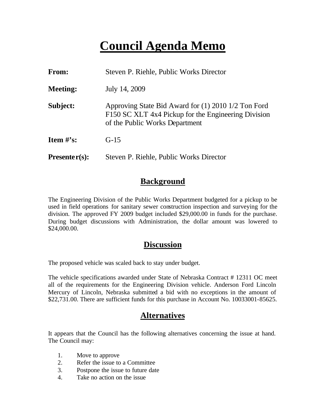# **Council Agenda Memo**

| From:           | Steven P. Riehle, Public Works Director                                                                                                      |
|-----------------|----------------------------------------------------------------------------------------------------------------------------------------------|
| <b>Meeting:</b> | July 14, 2009                                                                                                                                |
| Subject:        | Approving State Bid Award for (1) 2010 1/2 Ton Ford<br>F150 SC XLT 4x4 Pickup for the Engineering Division<br>of the Public Works Department |
| Item $#$ 's:    | $G-15$                                                                                                                                       |
| $Presenter(s):$ | Steven P. Riehle, Public Works Director                                                                                                      |

### **Background**

The Engineering Division of the Public Works Department budgeted for a pickup to be used in field operations for sanitary sewer construction inspection and surveying for the division. The approved FY 2009 budget included \$29,000.00 in funds for the purchase. During budget discussions with Administration, the dollar amount was lowered to \$24,000.00.

#### **Discussion**

The proposed vehicle was scaled back to stay under budget.

The vehicle specifications awarded under State of Nebraska Contract # 12311 OC meet all of the requirements for the Engineering Division vehicle. Anderson Ford Lincoln Mercury of Lincoln, Nebraska submitted a bid with no exceptions in the amount of \$22,731.00. There are sufficient funds for this purchase in Account No. 10033001-85625.

## **Alternatives**

It appears that the Council has the following alternatives concerning the issue at hand. The Council may:

- 1. Move to approve
- 2. Refer the issue to a Committee
- 3. Postpone the issue to future date
- 4. Take no action on the issue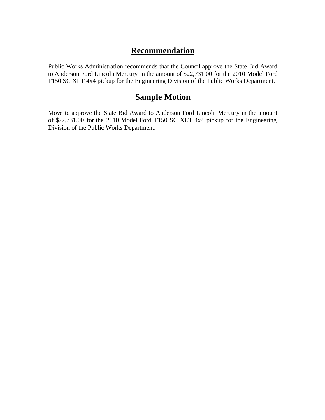# **Recommendation**

Public Works Administration recommends that the Council approve the State Bid Award to Anderson Ford Lincoln Mercury in the amount of \$22,731.00 for the 2010 Model Ford F150 SC XLT 4x4 pickup for the Engineering Division of the Public Works Department.

### **Sample Motion**

Move to approve the State Bid Award to Anderson Ford Lincoln Mercury in the amount of \$22,731.00 for the 2010 Model Ford F150 SC XLT 4x4 pickup for the Engineering Division of the Public Works Department.